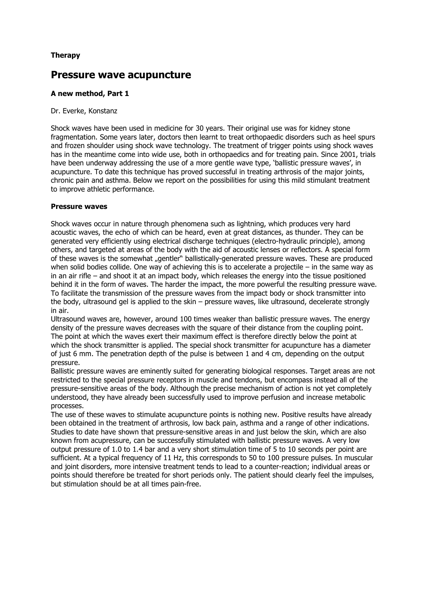## **Therapy**

# **Pressure wave acupuncture**

### **A new method, Part 1**

#### Dr. Everke, Konstanz

Shock waves have been used in medicine for 30 years. Their original use was for kidney stone fragmentation. Some years later, doctors then learnt to treat orthopaedic disorders such as heel spurs and frozen shoulder using shock wave technology. The treatment of trigger points using shock waves has in the meantime come into wide use, both in orthopaedics and for treating pain. Since 2001, trials have been underway addressing the use of a more gentle wave type, 'ballistic pressure waves', in acupuncture. To date this technique has proved successful in treating arthrosis of the major joints, chronic pain and asthma. Below we report on the possibilities for using this mild stimulant treatment to improve athletic performance.

#### **Pressure waves**

Shock waves occur in nature through phenomena such as lightning, which produces very hard acoustic waves, the echo of which can be heard, even at great distances, as thunder. They can be generated very efficiently using electrical discharge techniques (electro-hydraulic principle), among others, and targeted at areas of the body with the aid of acoustic lenses or reflectors. A special form of these waves is the somewhat "gentler" ballistically-generated pressure waves. These are produced when solid bodies collide. One way of achieving this is to accelerate a projectile – in the same way as in an air rifle – and shoot it at an impact body, which releases the energy into the tissue positioned behind it in the form of waves. The harder the impact, the more powerful the resulting pressure wave. To facilitate the transmission of the pressure waves from the impact body or shock transmitter into the body, ultrasound gel is applied to the skin – pressure waves, like ultrasound, decelerate strongly in air.

Ultrasound waves are, however, around 100 times weaker than ballistic pressure waves. The energy density of the pressure waves decreases with the square of their distance from the coupling point. The point at which the waves exert their maximum effect is therefore directly below the point at which the shock transmitter is applied. The special shock transmitter for acupuncture has a diameter of just 6 mm. The penetration depth of the pulse is between 1 and 4 cm, depending on the output pressure.

Ballistic pressure waves are eminently suited for generating biological responses. Target areas are not restricted to the special pressure receptors in muscle and tendons, but encompass instead all of the pressure-sensitive areas of the body. Although the precise mechanism of action is not yet completely understood, they have already been successfully used to improve perfusion and increase metabolic processes.

The use of these waves to stimulate acupuncture points is nothing new. Positive results have already been obtained in the treatment of arthrosis, low back pain, asthma and a range of other indications. Studies to date have shown that pressure-sensitive areas in and just below the skin, which are also known from acupressure, can be successfully stimulated with ballistic pressure waves. A very low output pressure of 1.0 to 1.4 bar and a very short stimulation time of 5 to 10 seconds per point are sufficient. At a typical frequency of 11 Hz, this corresponds to 50 to 100 pressure pulses. In muscular and joint disorders, more intensive treatment tends to lead to a counter-reaction; individual areas or points should therefore be treated for short periods only. The patient should clearly feel the impulses, but stimulation should be at all times pain-free.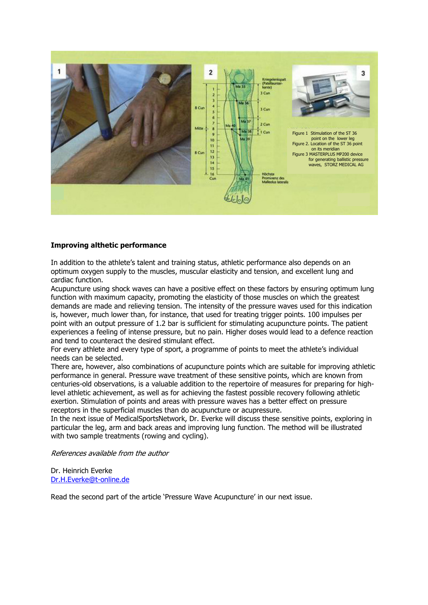

#### **Improving althetic performance**

In addition to the athlete's talent and training status, athletic performance also depends on an optimum oxygen supply to the muscles, muscular elasticity and tension, and excellent lung and cardiac function.

Acupuncture using shock waves can have a positive effect on these factors by ensuring optimum lung function with maximum capacity, promoting the elasticity of those muscles on which the greatest demands are made and relieving tension. The intensity of the pressure waves used for this indication is, however, much lower than, for instance, that used for treating trigger points. 100 impulses per point with an output pressure of 1.2 bar is sufficient for stimulating acupuncture points. The patient experiences a feeling of intense pressure, but no pain. Higher doses would lead to a defence reaction and tend to counteract the desired stimulant effect.

For every athlete and every type of sport, a programme of points to meet the athlete's individual needs can be selected.

There are, however, also combinations of acupuncture points which are suitable for improving athletic performance in general. Pressure wave treatment of these sensitive points, which are known from centuries-old observations, is a valuable addition to the repertoire of measures for preparing for highlevel athletic achievement, as well as for achieving the fastest possible recovery following athletic exertion. Stimulation of points and areas with pressure waves has a better effect on pressure receptors in the superficial muscles than do acupuncture or acupressure.

In the next issue of MedicalSportsNetwork, Dr. Everke will discuss these sensitive points, exploring in particular the leg, arm and back areas and improving lung function. The method will be illustrated with two sample treatments (rowing and cycling).

References available from the author

Dr. Heinrich Everke Dr.H.Everke@t-online.de

Read the second part of the article 'Pressure Wave Acupuncture' in our next issue.